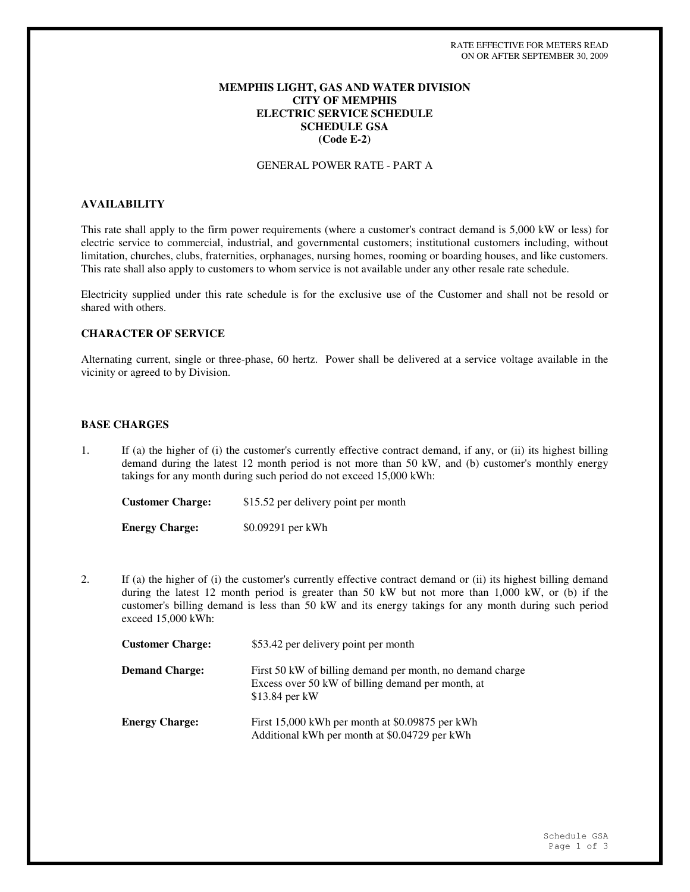### **MEMPHIS LIGHT, GAS AND WATER DIVISION CITY OF MEMPHIS ELECTRIC SERVICE SCHEDULE SCHEDULE GSA (Code E-2)**

#### GENERAL POWER RATE - PART A

# **AVAILABILITY**

This rate shall apply to the firm power requirements (where a customer's contract demand is 5,000 kW or less) for electric service to commercial, industrial, and governmental customers; institutional customers including, without limitation, churches, clubs, fraternities, orphanages, nursing homes, rooming or boarding houses, and like customers. This rate shall also apply to customers to whom service is not available under any other resale rate schedule.

Electricity supplied under this rate schedule is for the exclusive use of the Customer and shall not be resold or shared with others.

# **CHARACTER OF SERVICE**

Alternating current, single or three-phase, 60 hertz. Power shall be delivered at a service voltage available in the vicinity or agreed to by Division.

#### **BASE CHARGES**

1. If (a) the higher of (i) the customer's currently effective contract demand, if any, or (ii) its highest billing demand during the latest 12 month period is not more than 50 kW, and (b) customer's monthly energy takings for any month during such period do not exceed 15,000 kWh:

**Customer Charge:** \$15.52 per delivery point per month **Energy Charge:** \$0.09291 per kWh

2. If (a) the higher of (i) the customer's currently effective contract demand or (ii) its highest billing demand during the latest 12 month period is greater than 50 kW but not more than 1,000 kW, or (b) if the customer's billing demand is less than 50 kW and its energy takings for any month during such period exceed 15,000 kWh:

| <b>Customer Charge:</b> | \$53.42 per delivery point per month                                                                                              |
|-------------------------|-----------------------------------------------------------------------------------------------------------------------------------|
| <b>Demand Charge:</b>   | First 50 kW of billing demand per month, no demand charge<br>Excess over 50 kW of billing demand per month, at<br>$$13.84$ per kW |
| <b>Energy Charge:</b>   | First 15,000 kWh per month at \$0.09875 per kWh<br>Additional kWh per month at \$0.04729 per kWh                                  |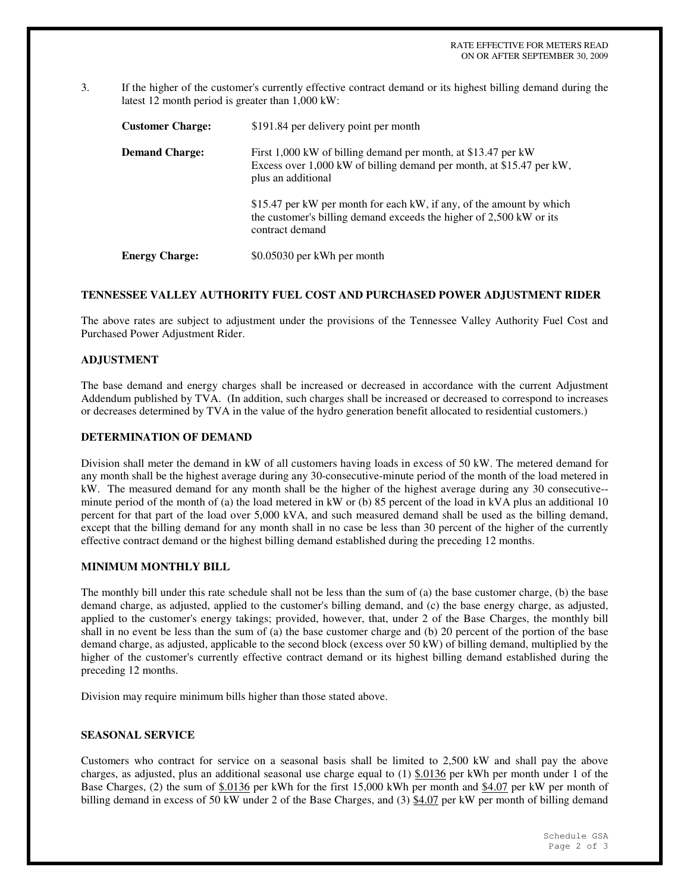3. If the higher of the customer's currently effective contract demand or its highest billing demand during the latest 12 month period is greater than 1,000 kW:

| <b>Customer Charge:</b> | \$191.84 per delivery point per month                                                                                                                          |
|-------------------------|----------------------------------------------------------------------------------------------------------------------------------------------------------------|
| <b>Demand Charge:</b>   | First 1,000 kW of billing demand per month, at \$13.47 per kW<br>Excess over 1,000 kW of billing demand per month, at \$15.47 per kW,<br>plus an additional    |
|                         | \$15.47 per kW per month for each kW, if any, of the amount by which<br>the customer's billing demand exceeds the higher of 2,500 kW or its<br>contract demand |
| <b>Energy Charge:</b>   | \$0.05030 per kWh per month                                                                                                                                    |

#### **TENNESSEE VALLEY AUTHORITY FUEL COST AND PURCHASED POWER ADJUSTMENT RIDER**

The above rates are subject to adjustment under the provisions of the Tennessee Valley Authority Fuel Cost and Purchased Power Adjustment Rider.

## **ADJUSTMENT**

The base demand and energy charges shall be increased or decreased in accordance with the current Adjustment Addendum published by TVA. (In addition, such charges shall be increased or decreased to correspond to increases or decreases determined by TVA in the value of the hydro generation benefit allocated to residential customers.)

#### **DETERMINATION OF DEMAND**

Division shall meter the demand in kW of all customers having loads in excess of 50 kW. The metered demand for any month shall be the highest average during any 30-consecutive-minute period of the month of the load metered in kW. The measured demand for any month shall be the higher of the highest average during any 30 consecutive- minute period of the month of (a) the load metered in kW or (b) 85 percent of the load in kVA plus an additional 10 percent for that part of the load over 5,000 kVA, and such measured demand shall be used as the billing demand, except that the billing demand for any month shall in no case be less than 30 percent of the higher of the currently effective contract demand or the highest billing demand established during the preceding 12 months.

## **MINIMUM MONTHLY BILL**

The monthly bill under this rate schedule shall not be less than the sum of (a) the base customer charge, (b) the base demand charge, as adjusted, applied to the customer's billing demand, and (c) the base energy charge, as adjusted, applied to the customer's energy takings; provided, however, that, under 2 of the Base Charges, the monthly bill shall in no event be less than the sum of (a) the base customer charge and (b) 20 percent of the portion of the base demand charge, as adjusted, applicable to the second block (excess over 50 kW) of billing demand, multiplied by the higher of the customer's currently effective contract demand or its highest billing demand established during the preceding 12 months.

Division may require minimum bills higher than those stated above.

#### **SEASONAL SERVICE**

Customers who contract for service on a seasonal basis shall be limited to 2,500 kW and shall pay the above charges, as adjusted, plus an additional seasonal use charge equal to  $(1)$  \$.0136 per kWh per month under 1 of the Base Charges, (2) the sum of \$.0136 per kWh for the first 15,000 kWh per month and \$4.07 per kW per month of billing demand in excess of 50 kW under 2 of the Base Charges, and (3) \$4.07 per kW per month of billing demand